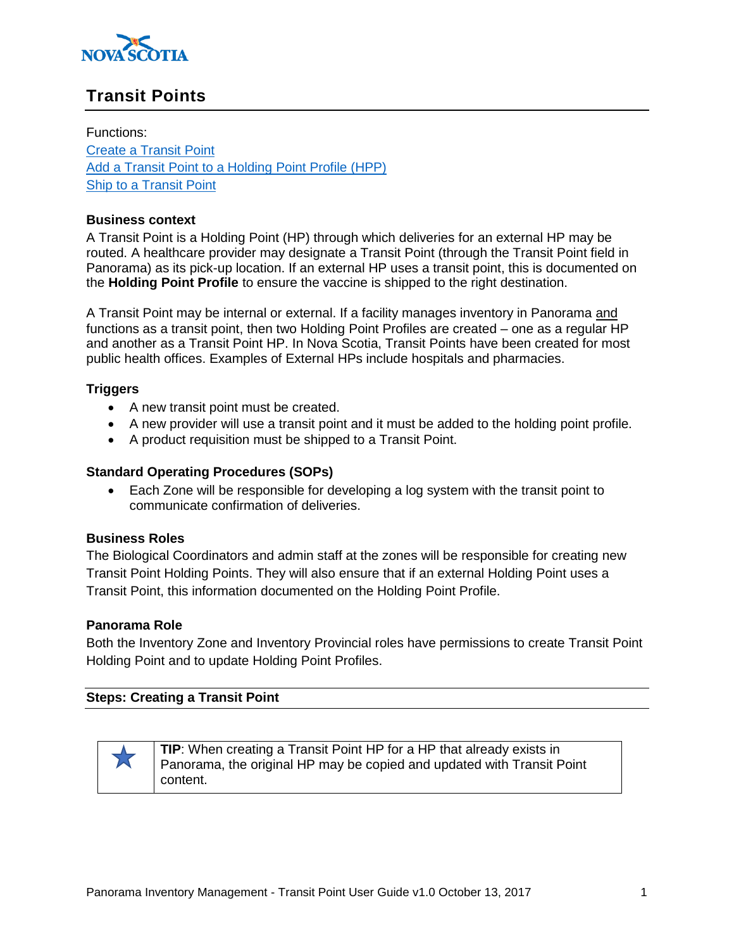

# **Transit Points**

Functions: [Create a Transit Point](#page-0-0) [Add a Transit Point to a Holding Point Profile \(HPP\)](#page-2-0) [Ship to a Transit Point](#page-3-0)

#### **Business context**

A Transit Point is a Holding Point (HP) through which deliveries for an external HP may be routed. A healthcare provider may designate a Transit Point (through the Transit Point field in Panorama) as its pick-up location. If an external HP uses a transit point, this is documented on the **Holding Point Profile** to ensure the vaccine is shipped to the right destination.

A Transit Point may be internal or external. If a facility manages inventory in Panorama and functions as a transit point, then two Holding Point Profiles are created – one as a regular HP and another as a Transit Point HP. In Nova Scotia, Transit Points have been created for most public health offices. Examples of External HPs include hospitals and pharmacies.

## **Triggers**

- A new transit point must be created.
- A new provider will use a transit point and it must be added to the holding point profile.
- A product requisition must be shipped to a Transit Point.

### **Standard Operating Procedures (SOPs)**

 Each Zone will be responsible for developing a log system with the transit point to communicate confirmation of deliveries.

#### **Business Roles**

The Biological Coordinators and admin staff at the zones will be responsible for creating new Transit Point Holding Points. They will also ensure that if an external Holding Point uses a Transit Point, this information documented on the Holding Point Profile.

#### **Panorama Role**

Both the Inventory Zone and Inventory Provincial roles have permissions to create Transit Point Holding Point and to update Holding Point Profiles.

## <span id="page-0-0"></span>**Steps: Creating a Transit Point**



**TIP**: When creating a Transit Point HP for a HP that already exists in Panorama, the original HP may be copied and updated with Transit Point content.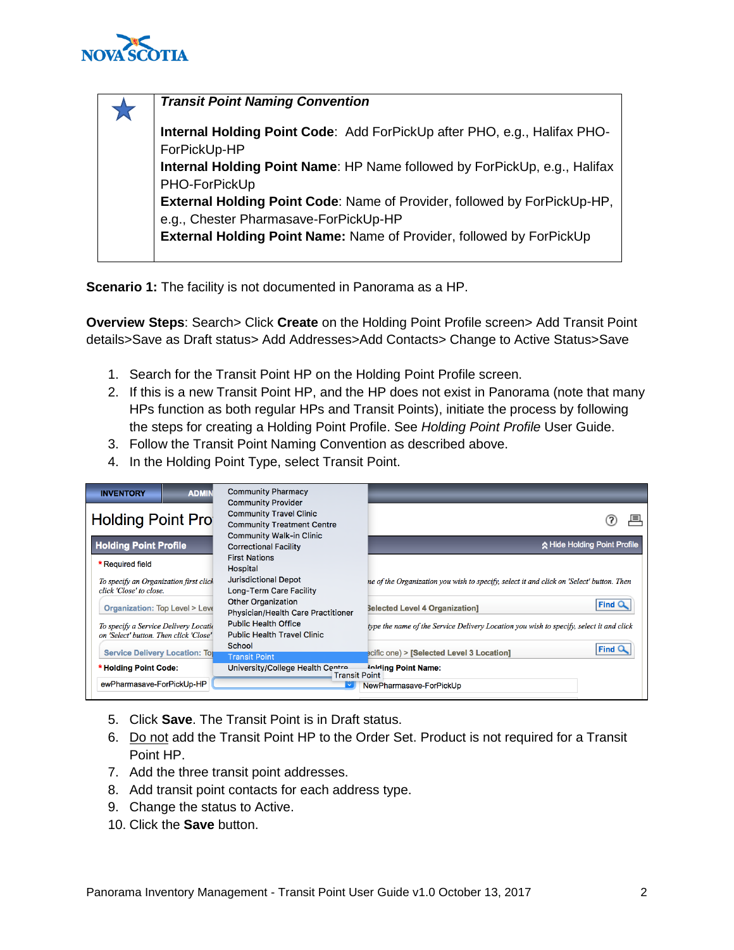

| <b>Transit Point Naming Convention</b>                                          |
|---------------------------------------------------------------------------------|
| Internal Holding Point Code: Add ForPickUp after PHO, e.g., Halifax PHO-        |
| ForPickUp-HP                                                                    |
| Internal Holding Point Name: HP Name followed by ForPickUp, e.g., Halifax       |
| PHO-ForPickUp                                                                   |
| <b>External Holding Point Code: Name of Provider, followed by ForPickUp-HP,</b> |
| e.g., Chester Pharmasave-ForPickUp-HP                                           |
| External Holding Point Name: Name of Provider, followed by ForPickUp            |
|                                                                                 |

**Scenario 1:** The facility is not documented in Panorama as a HP.

**Overview Steps**: Search> Click **Create** on the Holding Point Profile screen> Add Transit Point details>Save as Draft status> Add Addresses>Add Contacts> Change to Active Status>Save

- 1. Search for the Transit Point HP on the Holding Point Profile screen.
- 2. If this is a new Transit Point HP, and the HP does not exist in Panorama (note that many HPs function as both regular HPs and Transit Points), initiate the process by following the steps for creating a Holding Point Profile. See *Holding Point Profile* User Guide.
- 3. Follow the Transit Point Naming Convention as described above.
- 4. In the Holding Point Type, select Transit Point.

| <b>ADMIN</b><br><b>INVENTORY</b>                                                | <b>Community Pharmacy</b><br><b>Community Provider</b>              |                                                                                          |  |  |
|---------------------------------------------------------------------------------|---------------------------------------------------------------------|------------------------------------------------------------------------------------------|--|--|
| <b>Holding Point Pro</b>                                                        | <b>Community Travel Clinic</b><br><b>Community Treatment Centre</b> |                                                                                          |  |  |
| <b>Holding Point Profile</b>                                                    | <b>Community Walk-in Clinic</b><br><b>Correctional Facility</b>     | ☆ Hide Holding Point Profile                                                             |  |  |
| * Required field                                                                | <b>First Nations</b><br>Hospital                                    |                                                                                          |  |  |
| To specify an Organization first click<br>click 'Close' to close.               | <b>Jurisdictional Depot</b><br>Long-Term Care Facility              | ne of the Organization you wish to specify, select it and click on 'Select' button. Then |  |  |
| <b>Organization: Top Level &gt; Leve</b>                                        | <b>Other Organization</b><br>Physician/Health Care Practitioner     | <b>Find</b><br><b>Selected Level 4 Organization]</b>                                     |  |  |
| To specify a Service Delivery Locatio<br>on 'Select' button. Then click 'Close' | <b>Public Health Office</b><br><b>Public Health Travel Clinic</b>   | type the name of the Service Delivery Location you wish to specify, select it and click  |  |  |
| <b>Service Delivery Location: Top</b>                                           | School<br><b>Transit Point</b>                                      | <b>Find</b><br>ecific one) > [Selected Level 3 Location]                                 |  |  |
| * Holding Point Code:                                                           | University/College Health Centre<br><b>Transit Point</b>            | <b>Jolding Point Name:</b>                                                               |  |  |
| ewPharmasave-ForPickUp-HP                                                       | NewPharmasave-ForPickUp                                             |                                                                                          |  |  |

- 5. Click **Save**. The Transit Point is in Draft status.
- 6. Do not add the Transit Point HP to the Order Set. Product is not required for a Transit Point HP.
- 7. Add the three transit point addresses.
- 8. Add transit point contacts for each address type.
- 9. Change the status to Active.
- 10. Click the **Save** button.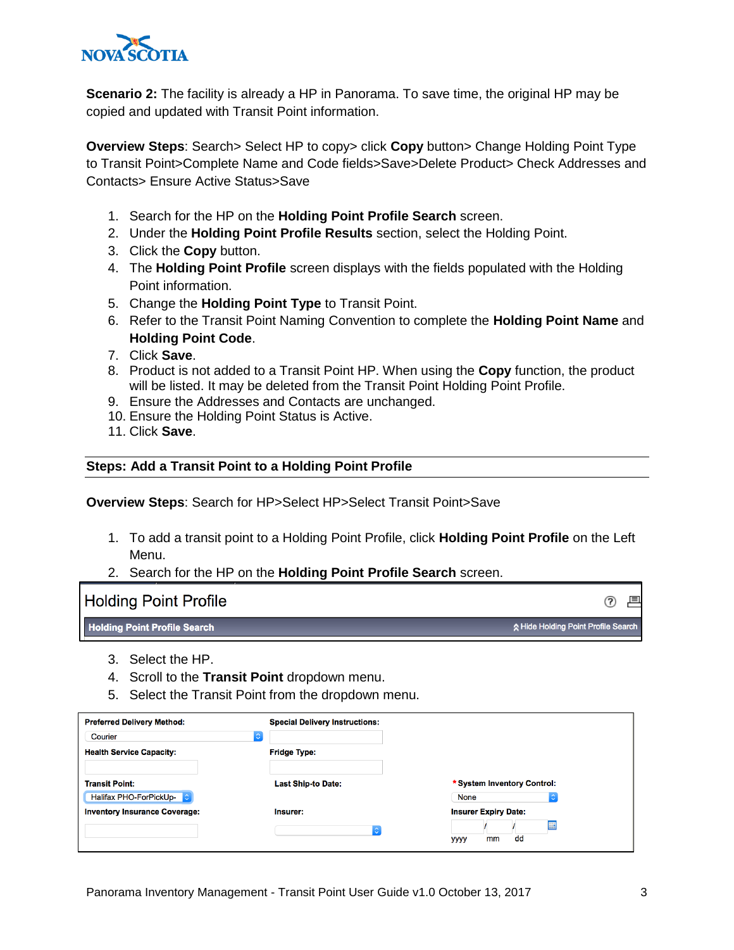

**Scenario 2:** The facility is already a HP in Panorama. To save time, the original HP may be copied and updated with Transit Point information.

**Overview Steps**: Search> Select HP to copy> click **Copy** button> Change Holding Point Type to Transit Point>Complete Name and Code fields>Save>Delete Product> Check Addresses and Contacts> Ensure Active Status>Save

- 1. Search for the HP on the **Holding Point Profile Search** screen.
- 2. Under the **Holding Point Profile Results** section, select the Holding Point.
- 3. Click the **Copy** button.
- 4. The **Holding Point Profile** screen displays with the fields populated with the Holding Point information.
- 5. Change the **Holding Point Type** to Transit Point.
- 6. Refer to the Transit Point Naming Convention to complete the **Holding Point Name** and **Holding Point Code**.
- 7. Click **Save**.
- 8. Product is not added to a Transit Point HP. When using the **Copy** function, the product will be listed. It may be deleted from the Transit Point Holding Point Profile.
- 9. Ensure the Addresses and Contacts are unchanged.
- 10. Ensure the Holding Point Status is Active.
- 11. Click **Save**.

#### <span id="page-2-0"></span>**Steps: Add a Transit Point to a Holding Point Profile**

**Overview Steps**: Search for HP>Select HP>Select Transit Point>Save

- 1. To add a transit point to a Holding Point Profile, click **Holding Point Profile** on the Left Menu.
- 2. Search for the HP on the **Holding Point Profile Search** screen.

| <b>Holding Point Profile</b>        | 目                                   |
|-------------------------------------|-------------------------------------|
| <b>Holding Point Profile Search</b> | ☆ Hide Holding Point Profile Search |

- 3. Select the HP.
- 4. Scroll to the **Transit Point** dropdown menu.
- 5. Select the Transit Point from the dropdown menu.

| <b>Preferred Delivery Method:</b>    | <b>Special Delivery Instructions:</b> |                             |
|--------------------------------------|---------------------------------------|-----------------------------|
| Courier<br>$\ddotmark$               |                                       |                             |
| <b>Health Service Capacity:</b>      | <b>Fridge Type:</b>                   |                             |
|                                      |                                       |                             |
| <b>Transit Point:</b>                | <b>Last Ship-to Date:</b>             | * System Inventory Control: |
| Halifax PHO-ForPickUp-               |                                       | None                        |
| <b>Inventory Insurance Coverage:</b> | Insurer:                              | <b>Insurer Expiry Date:</b> |
|                                      |                                       |                             |
|                                      |                                       | dd<br>mm<br>уууу            |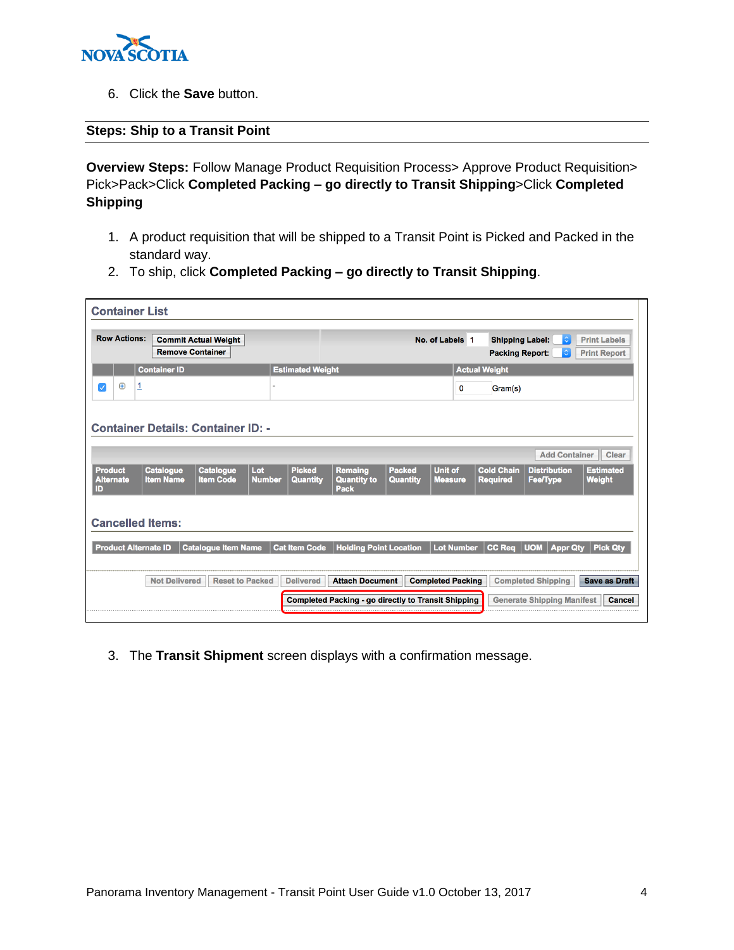

6. Click the **Save** button.

## <span id="page-3-0"></span>**Steps: Ship to a Transit Point**

**Overview Steps:** Follow Manage Product Requisition Process> Approve Product Requisition> Pick>Pack>Click **Completed Packing – go directly to Transit Shipping**>Click **Completed Shipping**

- 1. A product requisition that will be shipped to a Transit Point is Picked and Packed in the standard way.
- 2. To ship, click **Completed Packing – go directly to Transit Shipping**.

|                                    | <b>Remove Container</b>              | <b>Commit Actual Weight</b>               |                      |                                  |                                                     |                                  | No. of Labels 1                  | <b>Shipping Label:</b><br><b>Packing Report:</b> | $ \diamondsuit $<br>$\hat{\mathcal{L}}$ | <b>Print Labels</b><br><b>Print Report</b> |
|------------------------------------|--------------------------------------|-------------------------------------------|----------------------|----------------------------------|-----------------------------------------------------|----------------------------------|----------------------------------|--------------------------------------------------|-----------------------------------------|--------------------------------------------|
|                                    | <b>Container ID</b>                  |                                           |                      | <b>Estimated Weight</b>          |                                                     |                                  |                                  | <b>Actual Weight</b>                             |                                         |                                            |
| $\bigoplus$<br>$\checkmark$        |                                      |                                           |                      |                                  |                                                     |                                  | 0                                | Gram(s)                                          |                                         |                                            |
|                                    |                                      | <b>Container Details: Container ID: -</b> |                      |                                  |                                                     |                                  |                                  |                                                  |                                         |                                            |
|                                    |                                      |                                           |                      |                                  |                                                     |                                  |                                  |                                                  |                                         |                                            |
|                                    |                                      |                                           |                      |                                  |                                                     |                                  |                                  |                                                  | <b>Add Container</b>                    | Clear                                      |
| <b>Product</b><br><b>Alternate</b> | <b>Catalogue</b><br><b>Item Name</b> | <b>Catalogue</b><br><b>Item Code</b>      | Lot<br><b>Number</b> | <b>Picked</b><br><b>Quantity</b> | <b>Remaing</b><br><b>Quantity to</b><br><b>Pack</b> | <b>Packed</b><br><b>Quantity</b> | <b>Unit of</b><br><b>Measure</b> | <b>Cold Chain</b><br><b>Required</b>             | <b>Distribution</b><br><b>Fee/Type</b>  | <b>Estimated</b><br><b>Weight</b>          |
|                                    |                                      |                                           |                      |                                  |                                                     |                                  |                                  |                                                  |                                         |                                            |
| <b>Cancelled Items:</b>            |                                      |                                           |                      |                                  |                                                     |                                  |                                  |                                                  |                                         |                                            |
|                                    |                                      | <b>Catalogue Item Name</b>                |                      | <b>Cat Item Code</b>             | <b>Holding Point Location</b>                       |                                  |                                  |                                                  | Lot Number CC Req UOM Appr Qty          | <b>Pick Qtv</b>                            |
|                                    |                                      |                                           |                      |                                  |                                                     |                                  |                                  |                                                  |                                         |                                            |
|                                    |                                      |                                           |                      |                                  |                                                     |                                  |                                  |                                                  |                                         |                                            |
| <b>Product Alternate ID</b>        |                                      |                                           |                      |                                  |                                                     |                                  |                                  |                                                  |                                         |                                            |

3. The **Transit Shipment** screen displays with a confirmation message.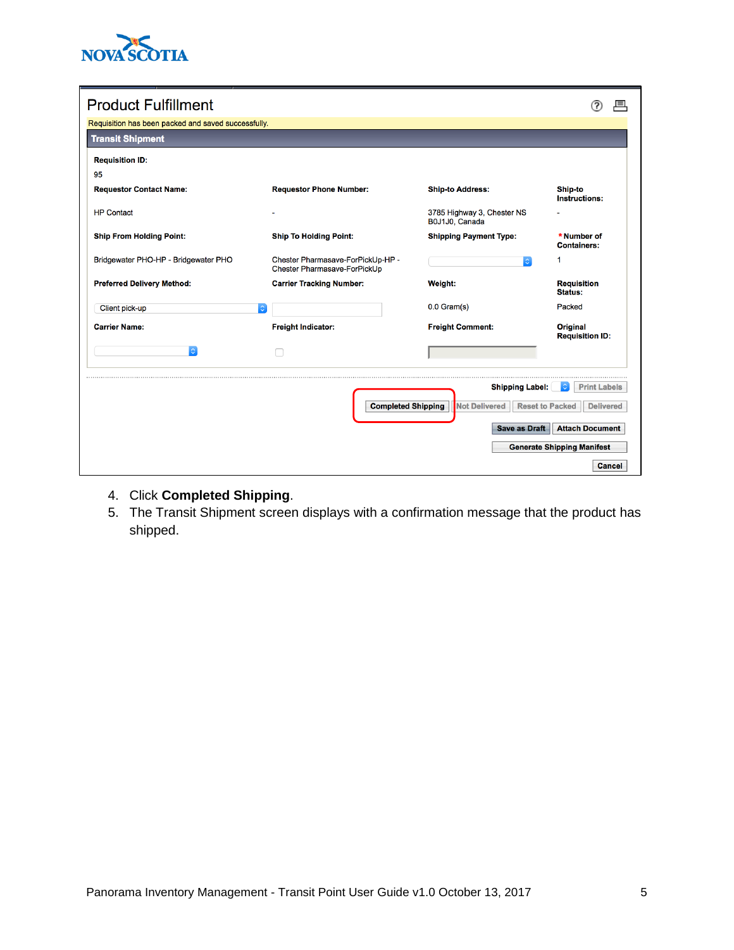

| <b>Product Fulfillment</b>                                                                      |                                                                   |                                              |                                    |  |  |  |
|-------------------------------------------------------------------------------------------------|-------------------------------------------------------------------|----------------------------------------------|------------------------------------|--|--|--|
| Requisition has been packed and saved successfully.                                             |                                                                   |                                              |                                    |  |  |  |
| <b>Transit Shipment</b>                                                                         |                                                                   |                                              |                                    |  |  |  |
| <b>Requisition ID:</b>                                                                          |                                                                   |                                              |                                    |  |  |  |
| 95                                                                                              |                                                                   |                                              |                                    |  |  |  |
| <b>Requestor Contact Name:</b>                                                                  | <b>Requestor Phone Number:</b>                                    | <b>Ship-to Address:</b>                      | Ship-to<br>Instructions:           |  |  |  |
| <b>HP Contact</b>                                                                               |                                                                   | 3785 Highway 3, Chester NS<br>B0J1J0, Canada |                                    |  |  |  |
| <b>Ship From Holding Point:</b>                                                                 | <b>Ship To Holding Point:</b>                                     | <b>Shipping Payment Type:</b>                | * Number of<br><b>Containers:</b>  |  |  |  |
| Bridgewater PHO-HP - Bridgewater PHO                                                            | Chester Pharmasave-ForPickUp-HP -<br>Chester Pharmasave-ForPickUp | $\hat{\mathbb{C}}$                           | 1                                  |  |  |  |
| <b>Preferred Delivery Method:</b>                                                               | <b>Carrier Tracking Number:</b>                                   | Weight:                                      | <b>Requisition</b><br>Status:      |  |  |  |
| Client pick-up                                                                                  | $ \hat{\phi} $                                                    | $0.0$ Gram(s)                                | Packed                             |  |  |  |
| <b>Carrier Name:</b>                                                                            | <b>Freight Indicator:</b>                                         | <b>Freight Comment:</b>                      | Original<br><b>Requisition ID:</b> |  |  |  |
| $\hat{\mathbb{C}}$                                                                              |                                                                   |                                              |                                    |  |  |  |
|                                                                                                 |                                                                   | <b>Shipping Label:</b>                       | <b>Print Labels</b>                |  |  |  |
| <b>Completed Shipping</b><br><b>Not Delivered</b><br><b>Reset to Packed</b><br><b>Delivered</b> |                                                                   |                                              |                                    |  |  |  |
| <b>Attach Document</b><br>Save as Draft                                                         |                                                                   |                                              |                                    |  |  |  |
|                                                                                                 |                                                                   |                                              | <b>Generate Shipping Manifest</b>  |  |  |  |
|                                                                                                 |                                                                   |                                              | Cancel                             |  |  |  |

- 4. Click **Completed Shipping**.
- 5. The Transit Shipment screen displays with a confirmation message that the product has shipped.